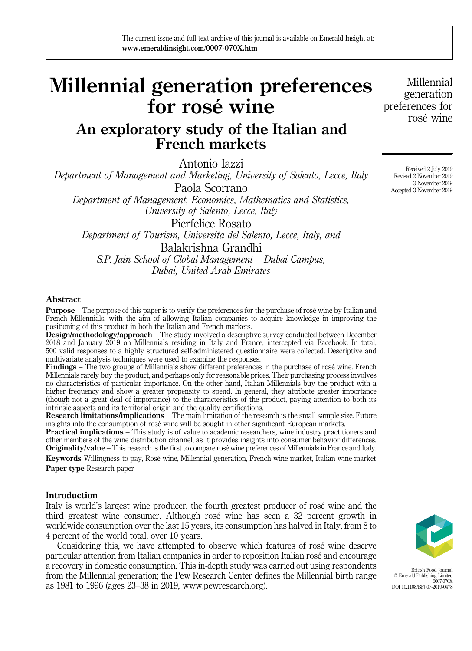# Millennial generation preferences for rosé wine

# An exploratory study of the Italian and French markets

Antonio Iazzi

Department of Management and Marketing, University of Salento, Lecce, Italy Paola Scorrano

Department of Management, Economics, Mathematics and Statistics, University of Salento, Lecce, Italy

Pierfelice Rosato

Department of Tourism, Universita del Salento, Lecce, Italy, and Balakrishna Grandhi

S.P. Jain School of Global Management – Dubai Campus, Dubai, United Arab Emirates

# Abstract

Purpose – The purpose of this paper is to verify the preferences for the purchase of rosé wine by Italian and French Millennials, with the aim of allowing Italian companies to acquire knowledge in improving the positioning of this product in both the Italian and French markets.

Design/methodology/approach – The study involved a descriptive survey conducted between December 2018 and January 2019 on Millennials residing in Italy and France, intercepted via Facebook. In total, 500 valid responses to a highly structured self-administered questionnaire were collected. Descriptive and multivariate analysis techniques were used to examine the responses.

Findings – The two groups of Millennials show different preferences in the purchase of rosé wine. French Millennials rarely buy the product, and perhaps only for reasonable prices. Their purchasing process involves no characteristics of particular importance. On the other hand, Italian Millennials buy the product with a higher frequency and show a greater propensity to spend. In general, they attribute greater importance (though not a great deal of importance) to the characteristics of the product, paying attention to both its intrinsic aspects and its territorial origin and the quality certifications.

Research limitations/implications – The main limitation of the research is the small sample size. Future insights into the consumption of rosé wine will be sought in other significant European markets.

**Practical implications** – This study is of value to academic researchers, wine industry practitioners and other members of the wine distribution channel, as it provides insights into consumer behavior differences. Originality/value – This research is the first to compare rosé wine preferences of Millennials in France and Italy.

Keywords Willingness to pay, Rosé wine, Millennial generation, French wine market, Italian wine market Paper type Research paper

# Introduction

Italy is world's largest wine producer, the fourth greatest producer of rosé wine and the third greatest wine consumer. Although rosé wine has seen a 32 percent growth in worldwide consumption over the last 15 years, its consumption has halved in Italy, from 8 to 4 percent of the world total, over 10 years.

Considering this, we have attempted to observe which features of rosé wine deserve particular attention from Italian companies in order to reposition Italian rosé and encourage a recovery in domestic consumption. This in-depth study was carried out using respondents from the Millennial generation; the Pew Research Center defines the Millennial birth range as 1981 to 1996 (ages 23–38 in 2019, [www.pewresearch.org\)](http://www.pewresearch.org).

Millennial generation preferences for rosé wine

> Received 2 July 2019 Revised 2 November 2019 3 November 2019 Accepted 3 November 2019



British Food Journal © Emerald Publishing Limited 0007-070X DOI 10.1108/BFJ-07-2019-0478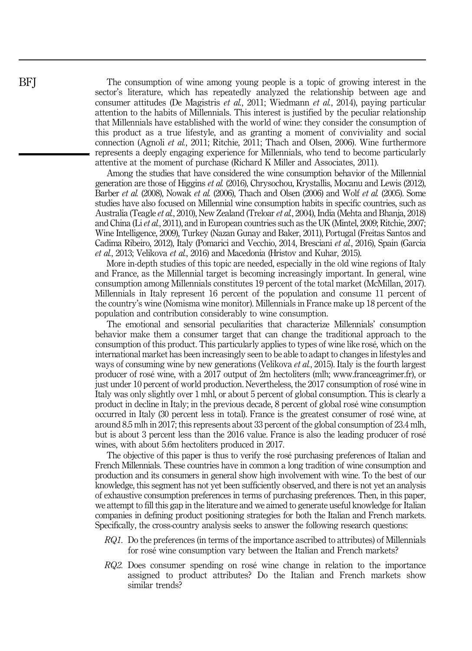The consumption of wine among young people is a topic of growing interest in the sector's literature, which has repeatedly analyzed the relationship between age and consumer attitudes (De Magistris et al., 2011; Wiedmann et al., 2014), paying particular attention to the habits of Millennials. This interest is justified by the peculiar relationship that Millennials have established with the world of wine: they consider the consumption of this product as a true lifestyle, and as granting a moment of conviviality and social connection (Agnoli et al., 2011; Ritchie, 2011; Thach and Olsen, 2006). Wine furthermore represents a deeply engaging experience for Millennials, who tend to become particularly attentive at the moment of purchase (Richard K Miller and Associates, 2011).

Among the studies that have considered the wine consumption behavior of the Millennial generation are those of Higgins et al. (2016), Chrysochou, Krystallis, Mocanu and Lewis (2012), Barber et al. (2008), Nowak et al. (2006), Thach and Olsen (2006) and Wolf et al. (2005). Some studies have also focused on Millennial wine consumption habits in specific countries, such as Australia (Teagle et al., 2010), New Zealand (Treloar et al., 2004), India (Mehta and Bhanja, 2018) and China (Liet al., 2011), and in European countries such as the UK (Mintel, 2009; Ritchie, 2007; Wine Intelligence, 2009), Turkey (Nazan Gunay and Baker, 2011), Portugal (Freitas Santos and Cadima Ribeiro, 2012), Italy (Pomarici and Vecchio, 2014, Bresciani et al., 2016), Spain (Garcia et al., 2013; Velikova et al., 2016) and Macedonia (Hristov and Kuhar, 2015).

More in-depth studies of this topic are needed, especially in the old wine regions of Italy and France, as the Millennial target is becoming increasingly important. In general, wine consumption among Millennials constitutes 19 percent of the total market (McMillan, 2017). Millennials in Italy represent 16 percent of the population and consume 11 percent of the country's wine (Nomisma wine monitor). Millennials in France make up 18 percent of the population and contribution considerably to wine consumption.

The emotional and sensorial peculiarities that characterize Millennials' consumption behavior make them a consumer target that can change the traditional approach to the consumption of this product. This particularly applies to types of wine like rosé, which on the international market has been increasingly seen to be able to adapt to changes in lifestyles and ways of consuming wine by new generations (Velikova *et al.*, 2015). Italy is the fourth largest producer of rosé wine, with a 2017 output of 2m hectoliters (mlh; [www.franceagrimer.fr](http://www.franceagrimer.fr)), or just under 10 percent of world production. Nevertheless, the 2017 consumption of rosé wine in Italy was only slightly over 1 mhl, or about 5 percent of global consumption. This is clearly a product in decline in Italy; in the previous decade, 8 percent of global rosé wine consumption occurred in Italy (30 percent less in total). France is the greatest consumer of rosé wine, at around 8.5 mlh in 2017; this represents about 33 percent of the global consumption of 23.4 mlh, but is about 3 percent less than the 2016 value. France is also the leading producer of rosé wines, with about 5.6m hectoliters produced in 2017.

The objective of this paper is thus to verify the rosé purchasing preferences of Italian and French Millennials. These countries have in common a long tradition of wine consumption and production and its consumers in general show high involvement with wine. To the best of our knowledge, this segment has not yet been sufficiently observed, and there is not yet an analysis of exhaustive consumption preferences in terms of purchasing preferences. Then, in this paper, we attempt to fill this gap in the literature and we aimed to generate useful knowledge for Italian companies in defining product positioning strategies for both the Italian and French markets. Specifically, the cross-country analysis seeks to answer the following research questions:

- RQ1. Do the preferences (in terms of the importance ascribed to attributes) of Millennials for rosé wine consumption vary between the Italian and French markets?
- RQ2. Does consumer spending on rosé wine change in relation to the importance assigned to product attributes? Do the Italian and French markets show similar trends?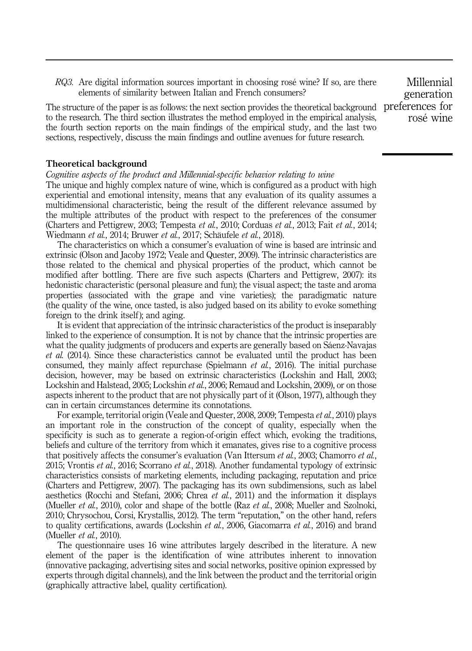RQ3. Are digital information sources important in choosing rosé wine? If so, are there elements of similarity between Italian and French consumers?

The structure of the paper is as follows: the next section provides the theoretical background to the research. The third section illustrates the method employed in the empirical analysis, the fourth section reports on the main findings of the empirical study, and the last two sections, respectively, discuss the main findings and outline avenues for future research.

#### Theoretical background

Cognitive aspects of the product and Millennial-specific behavior relating to wine

The unique and highly complex nature of wine, which is configured as a product with high experiential and emotional intensity, means that any evaluation of its quality assumes a multidimensional characteristic, being the result of the different relevance assumed by the multiple attributes of the product with respect to the preferences of the consumer (Charters and Pettigrew, 2003; Tempesta et al., 2010; Corduas et al., 2013; Fait et al., 2014; Wiedmann et al., 2014; Bruwer et al., 2017; Schäufele et al., 2018).

The characteristics on which a consumer's evaluation of wine is based are intrinsic and extrinsic (Olson and Jacoby 1972; Veale and Quester, 2009). The intrinsic characteristics are those related to the chemical and physical properties of the product, which cannot be modified after bottling. There are five such aspects (Charters and Pettigrew, 2007): its hedonistic characteristic (personal pleasure and fun); the visual aspect; the taste and aroma properties (associated with the grape and vine varieties); the paradigmatic nature (the quality of the wine, once tasted, is also judged based on its ability to evoke something foreign to the drink itself); and aging.

It is evident that appreciation of the intrinsic characteristics of the product is inseparably linked to the experience of consumption. It is not by chance that the intrinsic properties are what the quality judgments of producers and experts are generally based on Sáenz-Navajas et al. (2014). Since these characteristics cannot be evaluated until the product has been consumed, they mainly affect repurchase (Spielmann  $et$   $al$ , 2016). The initial purchase decision, however, may be based on extrinsic characteristics (Lockshin and Hall, 2003; Lockshin and Halstead, 2005; Lockshin et al., 2006; Remaud and Lockshin, 2009), or on those aspects inherent to the product that are not physically part of it (Olson, 1977), although they can in certain circumstances determine its connotations.

For example, territorial origin (Veale and Quester, 2008, 2009; Tempesta et al., 2010) plays an important role in the construction of the concept of quality, especially when the specificity is such as to generate a region-of-origin effect which, evoking the traditions, beliefs and culture of the territory from which it emanates, gives rise to a cognitive process that positively affects the consumer's evaluation (Van Ittersum *et al.*, 2003; Chamorro *et al.*, 2015; Vrontis et al., 2016; Scorrano et al., 2018). Another fundamental typology of extrinsic characteristics consists of marketing elements, including packaging, reputation and price (Charters and Pettigrew, 2007). The packaging has its own subdimensions, such as label aesthetics (Rocchi and Stefani, 2006; Chrea et al., 2011) and the information it displays (Mueller *et al.*, 2010), color and shape of the bottle (Raz *et al.*, 2008; Mueller and Szolnoki, 2010; Chrysochou, Corsi, Krystallis, 2012). The term "reputation," on the other hand, refers to quality certifications, awards (Lockshin et al., 2006, Giacomarra et al., 2016) and brand (Mueller *et al.*, 2010).

The questionnaire uses 16 wine attributes largely described in the literature. A new element of the paper is the identification of wine attributes inherent to innovation (innovative packaging, advertising sites and social networks, positive opinion expressed by experts through digital channels), and the link between the product and the territorial origin (graphically attractive label, quality certification).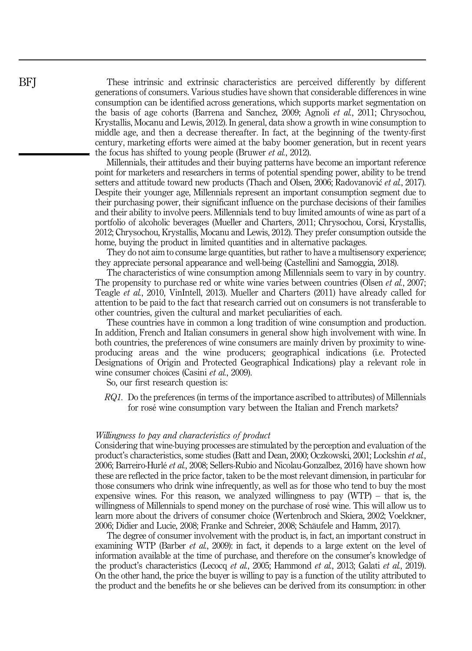These intrinsic and extrinsic characteristics are perceived differently by different generations of consumers. Various studies have shown that considerable differences in wine consumption can be identified across generations, which supports market segmentation on the basis of age cohorts (Barrena and Sanchez, 2009; Agnoli et al., 2011; Chrysochou, Krystallis, Mocanu and Lewis, 2012). In general, data show a growth in wine consumption to middle age, and then a decrease thereafter. In fact, at the beginning of the twenty-first century, marketing efforts were aimed at the baby boomer generation, but in recent years the focus has shifted to young people (Bruwer *et al.*, 2012).

Millennials, their attitudes and their buying patterns have become an important reference point for marketers and researchers in terms of potential spending power, ability to be trend setters and attitude toward new products (Thach and Olsen, 2006; Radovanović et al., 2017). Despite their younger age, Millennials represent an important consumption segment due to their purchasing power, their significant influence on the purchase decisions of their families and their ability to involve peers. Millennials tend to buy limited amounts of wine as part of a portfolio of alcoholic beverages (Mueller and Charters, 2011; Chrysochou, Corsi, Krystallis, 2012; Chrysochou, Krystallis, Mocanu and Lewis, 2012). They prefer consumption outside the home, buying the product in limited quantities and in alternative packages.

They do not aim to consume large quantities, but rather to have a multisensory experience; they appreciate personal appearance and well-being (Castellini and Samoggia, 2018).

The characteristics of wine consumption among Millennials seem to vary in by country. The propensity to purchase red or white wine varies between countries (Olsen *et al.*, 2007; Teagle et al., 2010, VinIntell, 2013). Mueller and Charters (2011) have already called for attention to be paid to the fact that research carried out on consumers is not transferable to other countries, given the cultural and market peculiarities of each.

These countries have in common a long tradition of wine consumption and production. In addition, French and Italian consumers in general show high involvement with wine. In both countries, the preferences of wine consumers are mainly driven by proximity to wineproducing areas and the wine producers; geographical indications (i.e. Protected Designations of Origin and Protected Geographical Indications) play a relevant role in wine consumer choices (Casini *et al.*, 2009).

So, our first research question is:

RQ1. Do the preferences (in terms of the importance ascribed to attributes) of Millennials for rosé wine consumption vary between the Italian and French markets?

#### Willingness to pay and characteristics of product

Considering that wine-buying processes are stimulated by the perception and evaluation of the product's characteristics, some studies (Batt and Dean, 2000; Oczkowski, 2001; Lockshin et al., 2006; Barreiro-Hurlé et al., 2008; Sellers-Rubio and Nicolau-Gonzalbez, 2016) have shown how these are reflected in the price factor, taken to be the most relevant dimension, in particular for those consumers who drink wine infrequently, as well as for those who tend to buy the most expensive wines. For this reason, we analyzed willingness to pay (WTP) – that is, the willingness of Millennials to spend money on the purchase of rosé wine. This will allow us to learn more about the drivers of consumer choice (Wertenbroch and Skiera, 2002; Voelckner, 2006; Didier and Lucie, 2008; Franke and Schreier, 2008; Schäufele and Hamm, 2017).

The degree of consumer involvement with the product is, in fact, an important construct in examining WTP (Barber *et al.*, 2009): in fact, it depends to a large extent on the level of information available at the time of purchase, and therefore on the consumer's knowledge of the product's characteristics (Lecocq et al., 2005; Hammond et al., 2013; Galati et al., 2019). On the other hand, the price the buyer is willing to pay is a function of the utility attributed to the product and the benefits he or she believes can be derived from its consumption: in other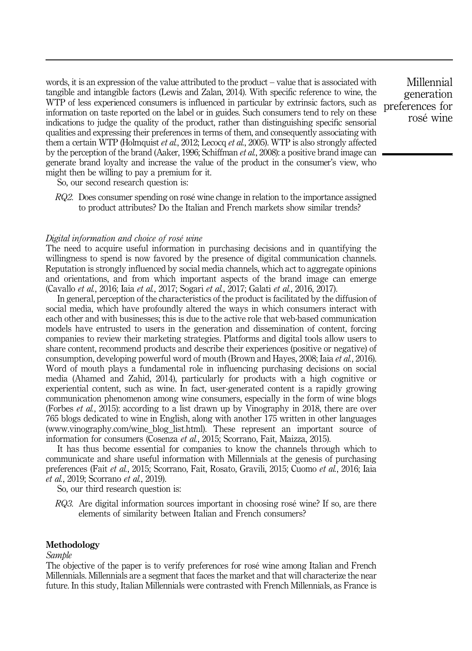words, it is an expression of the value attributed to the product – value that is associated with tangible and intangible factors (Lewis and Zalan, 2014). With specific reference to wine, the WTP of less experienced consumers is influenced in particular by extrinsic factors, such as information on taste reported on the label or in guides. Such consumers tend to rely on these indications to judge the quality of the product, rather than distinguishing specific sensorial qualities and expressing their preferences in terms of them, and consequently associating with them a certain WTP (Holmquist et al., 2012; Lecocq et al., 2005). WTP is also strongly affected by the perception of the brand (Aaker, 1996; Schiffman et al., 2008): a positive brand image can generate brand loyalty and increase the value of the product in the consumer's view, who might then be willing to pay a premium for it.

So, our second research question is:

RQ2. Does consumer spending on rosé wine change in relation to the importance assigned to product attributes? Do the Italian and French markets show similar trends?

# Digital information and choice of rosé wine

The need to acquire useful information in purchasing decisions and in quantifying the willingness to spend is now favored by the presence of digital communication channels. Reputation is strongly influenced by social media channels, which act to aggregate opinions and orientations, and from which important aspects of the brand image can emerge (Cavallo et al., 2016; Iaia et al., 2017; Sogari et al., 2017; Galati et al., 2016, 2017).

In general, perception of the characteristics of the product is facilitated by the diffusion of social media, which have profoundly altered the ways in which consumers interact with each other and with businesses; this is due to the active role that web-based communication models have entrusted to users in the generation and dissemination of content, forcing companies to review their marketing strategies. Platforms and digital tools allow users to share content, recommend products and describe their experiences (positive or negative) of consumption, developing powerful word of mouth (Brown and Hayes, 2008; Iaia et al., 2016). Word of mouth plays a fundamental role in influencing purchasing decisions on social media (Ahamed and Zahid, 2014), particularly for products with a high cognitive or experiential content, such as wine. In fact, user-generated content is a rapidly growing communication phenomenon among wine consumers, especially in the form of wine blogs (Forbes et al., 2015): according to a list drawn up by Vinography in 2018, there are over 765 blogs dedicated to wine in English, along with another 175 written in other languages [\(www.vinography.com/wine\\_blog\\_list.html\)](http://www.vinography.com/wine_blog_list.html). These represent an important source of information for consumers (Cosenza et al., 2015; Scorrano, Fait, Maizza, 2015).

It has thus become essential for companies to know the channels through which to communicate and share useful information with Millennials at the genesis of purchasing preferences (Fait et al., 2015; Scorrano, Fait, Rosato, Gravili, 2015; Cuomo et al., 2016; Iaia et al., 2019; Scorrano et al., 2019).

So, our third research question is:

 $RQ3$ . Are digital information sources important in choosing rosé wine? If so, are there elements of similarity between Italian and French consumers?

# Methodology

# Sample

The objective of the paper is to verify preferences for rosé wine among Italian and French Millennials. Millennials are a segment that faces the market and that will characterize the near future. In this study, Italian Millennials were contrasted with French Millennials, as France is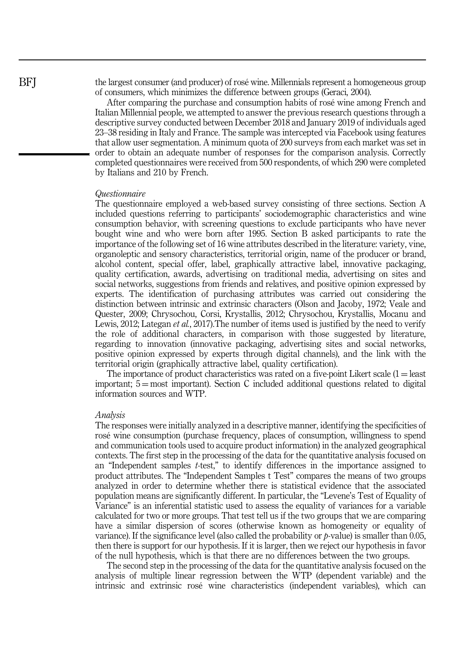the largest consumer (and producer) of rosé wine. Millennials represent a homogeneous group of consumers, which minimizes the difference between groups (Geraci, 2004).

After comparing the purchase and consumption habits of rosé wine among French and Italian Millennial people, we attempted to answer the previous research questions through a descriptive survey conducted between December 2018 and January 2019 of individuals aged 23–38 residing in Italy and France. The sample was intercepted via Facebook using features that allow user segmentation. A minimum quota of 200 surveys from each market was set in order to obtain an adequate number of responses for the comparison analysis. Correctly completed questionnaires were received from 500 respondents, of which 290 were completed by Italians and 210 by French.

#### Questionnaire

The questionnaire employed a web-based survey consisting of three sections. Section A included questions referring to participants' sociodemographic characteristics and wine consumption behavior, with screening questions to exclude participants who have never bought wine and who were born after 1995. Section B asked participants to rate the importance of the following set of 16 wine attributes described in the literature: variety, vine, organoleptic and sensory characteristics, territorial origin, name of the producer or brand, alcohol content, special offer, label, graphically attractive label, innovative packaging, quality certification, awards, advertising on traditional media, advertising on sites and social networks, suggestions from friends and relatives, and positive opinion expressed by experts. The identification of purchasing attributes was carried out considering the distinction between intrinsic and extrinsic characters (Olson and Jacoby, 1972; Veale and Quester, 2009; Chrysochou, Corsi, Krystallis, 2012; Chrysochou, Krystallis, Mocanu and Lewis, 2012; Lategan *et al.*, 2017). The number of items used is justified by the need to verify the role of additional characters, in comparison with those suggested by literature, regarding to innovation (innovative packaging, advertising sites and social networks, positive opinion expressed by experts through digital channels), and the link with the territorial origin (graphically attractive label, quality certification).

The importance of product characteristics was rated on a five-point Likert scale  $(1 =$  least important;  $5 = \text{most important}$ . Section C included additional questions related to digital information sources and WTP.

#### Analysis

The responses were initially analyzed in a descriptive manner, identifying the specificities of rosé wine consumption (purchase frequency, places of consumption, willingness to spend and communication tools used to acquire product information) in the analyzed geographical contexts. The first step in the processing of the data for the quantitative analysis focused on an "Independent samples t-test," to identify differences in the importance assigned to product attributes. The "Independent Samples t Test" compares the means of two groups analyzed in order to determine whether there is statistical evidence that the associated population means are significantly different. In particular, the "Levene's Test of Equality of Variance" is an inferential statistic used to assess the equality of variances for a variable calculated for two or more groups. That test tell us if the two groups that we are comparing have a similar dispersion of scores (otherwise known as homogeneity or equality of variance). If the significance level (also called the probability or  $\nu$ -value) is smaller than 0.05, then there is support for our hypothesis. If it is larger, then we reject our hypothesis in favor of the null hypothesis, which is that there are no differences between the two groups.

The second step in the processing of the data for the quantitative analysis focused on the analysis of multiple linear regression between the WTP (dependent variable) and the intrinsic and extrinsic rosé wine characteristics (independent variables), which can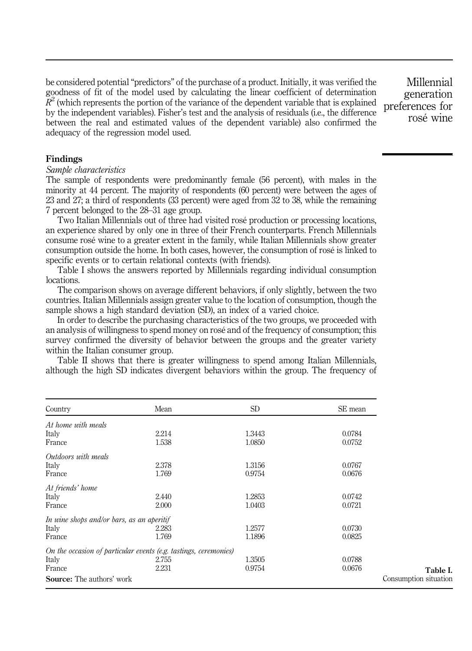be considered potential "predictors" of the purchase of a product. Initially, it was verified the goodness of fit of the model used by calculating the linear coefficient of determination  $R<sup>2</sup>$  (which represents the portion of the variance of the dependent variable that is explained by the independent variables). Fisher's test and the analysis of residuals (i.e., the difference between the real and estimated values of the dependent variable) also confirmed the adequacy of the regression model used.

Millennial generation preferences for rosé wine

# Findings

#### Sample characteristics

The sample of respondents were predominantly female (56 percent), with males in the minority at 44 percent. The majority of respondents (60 percent) were between the ages of 23 and 27; a third of respondents (33 percent) were aged from 32 to 38, while the remaining 7 percent belonged to the 28–31 age group.

Two Italian Millennials out of three had visited rosé production or processing locations, an experience shared by only one in three of their French counterparts. French Millennials consume rosé wine to a greater extent in the family, while Italian Millennials show greater consumption outside the home. In both cases, however, the consumption of rosé is linked to specific events or to certain relational contexts (with friends).

Table I shows the answers reported by Millennials regarding individual consumption locations.

The comparison shows on average different behaviors, if only slightly, between the two countries. Italian Millennials assign greater value to the location of consumption, though the sample shows a high standard deviation (SD), an index of a varied choice.

In order to describe the purchasing characteristics of the two groups, we proceeded with an analysis of willingness to spend money on rosé and of the frequency of consumption; this survey confirmed the diversity of behavior between the groups and the greater variety within the Italian consumer group.

Table II shows that there is greater willingness to spend among Italian Millennials, although the high SD indicates divergent behaviors within the group. The frequency of

| Country                                                          | Mean  | SD     | SE mean               |
|------------------------------------------------------------------|-------|--------|-----------------------|
| At home with meals                                               |       |        |                       |
| Italy                                                            | 2.214 | 1.3443 | 0.0784                |
| France                                                           | 1.538 | 1.0850 | 0.0752                |
| Outdoors with meals                                              |       |        |                       |
| Italy                                                            | 2.378 | 1.3156 | 0.0767                |
| France                                                           | 1.769 | 0.9754 | 0.0676                |
| At friends' home                                                 |       |        |                       |
| Italy                                                            | 2.440 | 1.2853 | 0.0742                |
| France                                                           | 2.000 | 1.0403 | 0.0721                |
| In wine shops and/or bars, as an aperitif                        |       |        |                       |
| Italy                                                            | 2.283 | 1.2577 | 0.0730                |
| France                                                           | 1.769 | 1.1896 | 0.0825                |
| On the occasion of particular events (e.g. tastings, ceremonies) |       |        |                       |
| Italy                                                            | 2.755 | 1.3505 | 0.0788                |
| France                                                           | 2.231 | 0.9754 | 0.0676                |
| <b>Source:</b> The authors' work                                 |       |        | Consumption situation |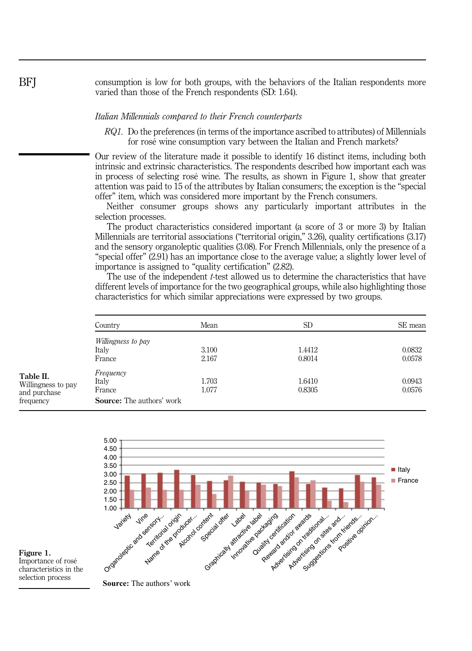consumption is low for both groups, with the behaviors of the Italian respondents more varied than those of the French respondents (SD: 1.64).

#### Italian Millennials compared to their French counterparts

RQ1. Do the preferences (in terms of the importance ascribed to attributes) of Millennials for rosé wine consumption vary between the Italian and French markets?

Our review of the literature made it possible to identify 16 distinct items, including both intrinsic and extrinsic characteristics. The respondents described how important each was in process of selecting rosé wine. The results, as shown in Figure 1, show that greater attention was paid to 15 of the attributes by Italian consumers; the exception is the "special offer" item, which was considered more important by the French consumers.

Neither consumer groups shows any particularly important attributes in the selection processes.

The product characteristics considered important (a score of 3 or more 3) by Italian Millennials are territorial associations ("territorial origin," 3.26), quality certifications (3.17) and the sensory organoleptic qualities (3.08). For French Millennials, only the presence of a "special offer" (2.91) has an importance close to the average value; a slightly lower level of importance is assigned to "quality certification" (2.82).

The use of the independent  $t$ -test allowed us to determine the characteristics that have different levels of importance for the two geographical groups, while also highlighting those characteristics for which similar appreciations were expressed by two groups.

|                                    | Country                          | Mean  | SD.    | SE mean |  |  |
|------------------------------------|----------------------------------|-------|--------|---------|--|--|
|                                    | Willingness to pay               |       |        |         |  |  |
|                                    | Italy                            | 3.100 | 1.4412 | 0.0832  |  |  |
|                                    | France                           | 2.167 | 0.8014 | 0.0578  |  |  |
| Table II.                          | Frequency                        |       |        |         |  |  |
|                                    | Italy                            | 1.703 | 1.6410 | 0.0943  |  |  |
| Willingness to pay<br>and purchase | France                           | 1.077 | 0.8305 | 0.0576  |  |  |
| frequency                          | <b>Source:</b> The authors' work |       |        |         |  |  |



Figure 1. Importance of rosé characteristics in the selection process

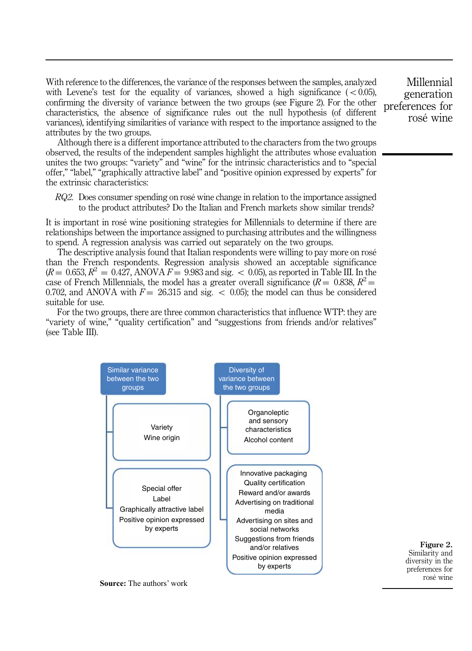With reference to the differences, the variance of the responses between the samples, analyzed with Levene's test for the equality of variances, showed a high significance  $(< 0.05)$ , confirming the diversity of variance between the two groups (see Figure 2). For the other characteristics, the absence of significance rules out the null hypothesis (of different variances), identifying similarities of variance with respect to the importance assigned to the attributes by the two groups.

Although there is a different importance attributed to the characters from the two groups observed, the results of the independent samples highlight the attributes whose evaluation unites the two groups: "variety" and "wine" for the intrinsic characteristics and to "special offer," "label," "graphically attractive label" and "positive opinion expressed by experts" for the extrinsic characteristics:

RQ2. Does consumer spending on rosé wine change in relation to the importance assigned to the product attributes? Do the Italian and French markets show similar trends?

It is important in rosé wine positioning strategies for Millennials to determine if there are relationships between the importance assigned to purchasing attributes and the willingness to spend. A regression analysis was carried out separately on the two groups.

The descriptive analysis found that Italian respondents were willing to pay more on rosé than the French respondents. Regression analysis showed an acceptable significance  $(R = 0.653, R^2 = 0.427, ANOVA F = 9.983$  and sig.  $\lt 0.05$ ), as reported in Table III. In the case of French Millennials, the model has a greater overall significance ( $R = 0.838$ ,  $R^2 =$ 0.702, and ANOVA with  $F = 26.315$  and sig.  $\lt$  0.05); the model can thus be considered suitable for use.

For the two groups, there are three common characteristics that influence WTP: they are "variety of wine," "quality certification" and "suggestions from friends and/or relatives" (see Table III).



Similarity and diversity in the preferences for rosé wine

**Source:** The authors' work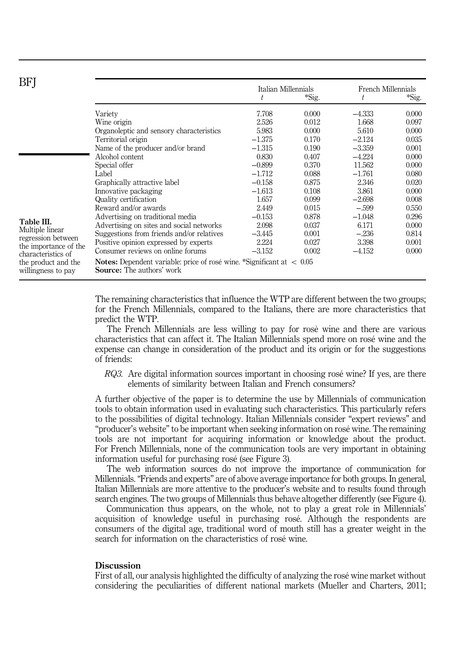| BFI                                                     |                                                                                                                                  | Italian Millennials |       | French Millennials |       |  |  |
|---------------------------------------------------------|----------------------------------------------------------------------------------------------------------------------------------|---------------------|-------|--------------------|-------|--|--|
|                                                         |                                                                                                                                  | t                   | *Sig. | t                  | *Sig. |  |  |
|                                                         | Variety                                                                                                                          | 7.708               | 0.000 | $-4.333$           | 0.000 |  |  |
|                                                         | Wine origin                                                                                                                      | 2.526               | 0.012 | 1.668              | 0.097 |  |  |
|                                                         | Organoleptic and sensory characteristics                                                                                         | 5.983               | 0.000 | 5.610              | 0.000 |  |  |
|                                                         | Territorial origin                                                                                                               | $-1.375$            | 0.170 | $-2.124$           | 0.035 |  |  |
|                                                         | Name of the producer and/or brand                                                                                                | $-1.315$            | 0.190 | $-3.359$           | 0.001 |  |  |
|                                                         | Alcohol content                                                                                                                  | 0.830               | 0.407 | $-4.224$           | 0.000 |  |  |
|                                                         | Special offer                                                                                                                    | $-0.899$            | 0.370 | 11.562             | 0.000 |  |  |
|                                                         | Label                                                                                                                            | $-1.712$            | 0.088 | $-1.761$           | 0.080 |  |  |
|                                                         | Graphically attractive label                                                                                                     | $-0.158$            | 0.875 | 2.346              | 0.020 |  |  |
|                                                         | Innovative packaging                                                                                                             | $-1.613$            | 0.108 | 3.861              | 0.000 |  |  |
|                                                         | Quality certification                                                                                                            | 1.657               | 0.099 | $-2.698$           | 0.008 |  |  |
|                                                         | Reward and/or awards                                                                                                             | 2.449               | 0.015 | $-.599$            | 0.550 |  |  |
| Table III.<br>Multiple linear                           | Advertising on traditional media                                                                                                 | $-0.153$            | 0.878 | $-1.048$           | 0.296 |  |  |
|                                                         | Advertising on sites and social networks                                                                                         | 2.098               | 0.037 | 6.171              | 0.000 |  |  |
| regression between                                      | Suggestions from friends and/or relatives                                                                                        | $-3.445$            | 0.001 | $-.236$            | 0.814 |  |  |
| the importance of the                                   | Positive opinion expressed by experts                                                                                            | 2.224               | 0.027 | 3.398              | 0.001 |  |  |
| Consumer reviews on online forums<br>characteristics of |                                                                                                                                  | $-3.152$            | 0.002 | $-4.152$           | 0.000 |  |  |
| the product and the<br>willingness to pay               | <b>Notes:</b> Dependent variable: price of rosé wine. *Significant at $\langle 0.05 \rangle$<br><b>Source:</b> The authors' work |                     |       |                    |       |  |  |

The remaining characteristics that influence the WTP are different between the two groups; for the French Millennials, compared to the Italians, there are more characteristics that predict the WTP.

The French Millennials are less willing to pay for rosè wine and there are various characteristics that can affect it. The Italian Millennials spend more on rosé wine and the expense can change in consideration of the product and its origin or for the suggestions of friends:

RQ3. Are digital information sources important in choosing rosé wine? If yes, are there elements of similarity between Italian and French consumers?

A further objective of the paper is to determine the use by Millennials of communication tools to obtain information used in evaluating such characteristics. This particularly refers to the possibilities of digital technology. Italian Millennials consider "expert reviews" and "producer's website" to be important when seeking information on rosé wine. The remaining tools are not important for acquiring information or knowledge about the product. For French Millennials, none of the communication tools are very important in obtaining information useful for purchasing rosé (see Figure 3).

The web information sources do not improve the importance of communication for Millennials. "Friends and experts" are of above average importance for both groups. In general, Italian Millennials are more attentive to the producer's website and to results found through search engines. The two groups of Millennials thus behave altogether differently (see Figure 4).

Communication thus appears, on the whole, not to play a great role in Millennials' acquisition of knowledge useful in purchasing rosé. Although the respondents are consumers of the digital age, traditional word of mouth still has a greater weight in the search for information on the characteristics of rosé wine.

# **Discussion**

First of all, our analysis highlighted the difficulty of analyzing the rosé wine market without considering the peculiarities of different national markets (Mueller and Charters, 2011;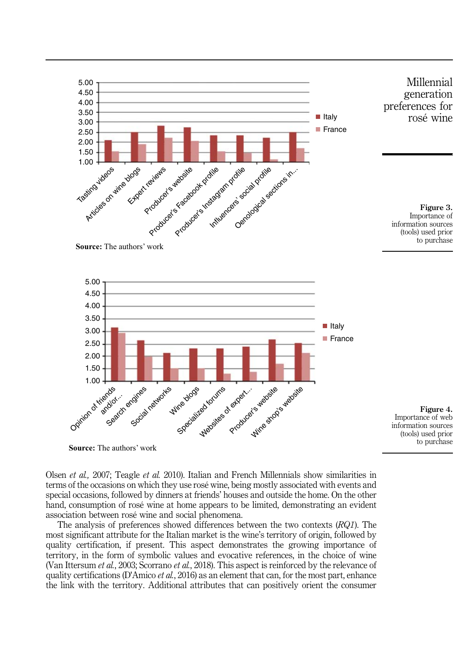









Olsen et al., 2007; Teagle et al. 2010). Italian and French Millennials show similarities in terms of the occasions on which they use rosé wine, being mostly associated with events and special occasions, followed by dinners at friends' houses and outside the home. On the other hand, consumption of rosé wine at home appears to be limited, demonstrating an evident association between rosé wine and social phenomena.

The analysis of preferences showed differences between the two contexts  $(RQ1)$ . The most significant attribute for the Italian market is the wine's territory of origin, followed by quality certification, if present. This aspect demonstrates the growing importance of territory, in the form of symbolic values and evocative references, in the choice of wine (Van Ittersum *et al.*, 2003; Scorrano *et al.*, 2018). This aspect is reinforced by the relevance of quality certifications (D'Amico *et al.*, 2016) as an element that can, for the most part, enhance the link with the territory. Additional attributes that can positively orient the consumer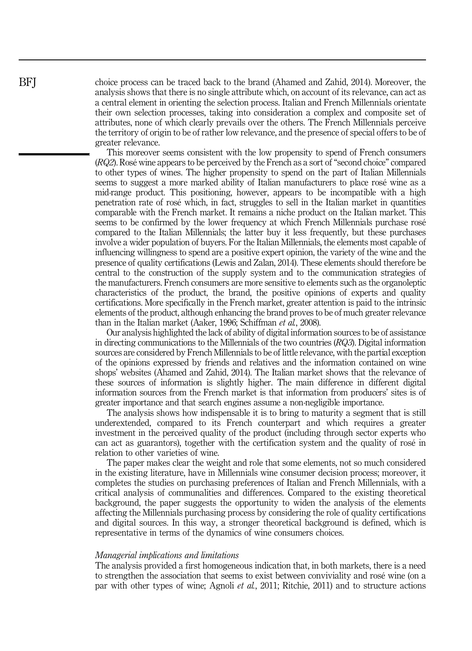choice process can be traced back to the brand (Ahamed and Zahid, 2014). Moreover, the analysis shows that there is no single attribute which, on account of its relevance, can act as a central element in orienting the selection process. Italian and French Millennials orientate their own selection processes, taking into consideration a complex and composite set of attributes, none of which clearly prevails over the others. The French Millennials perceive the territory of origin to be of rather low relevance, and the presence of special offers to be of greater relevance.

This moreover seems consistent with the low propensity to spend of French consumers (RQ2). Rosé wine appears to be perceived by the French as a sort of "second choice" compared to other types of wines. The higher propensity to spend on the part of Italian Millennials seems to suggest a more marked ability of Italian manufacturers to place rosé wine as a mid-range product. This positioning, however, appears to be incompatible with a high penetration rate of rosé which, in fact, struggles to sell in the Italian market in quantities comparable with the French market. It remains a niche product on the Italian market. This seems to be confirmed by the lower frequency at which French Millennials purchase rosé compared to the Italian Millennials; the latter buy it less frequently, but these purchases involve a wider population of buyers. For the Italian Millennials, the elements most capable of influencing willingness to spend are a positive expert opinion, the variety of the wine and the presence of quality certifications (Lewis and Zalan, 2014). These elements should therefore be central to the construction of the supply system and to the communication strategies of the manufacturers. French consumers are more sensitive to elements such as the organoleptic characteristics of the product, the brand, the positive opinions of experts and quality certifications. More specifically in the French market, greater attention is paid to the intrinsic elements of the product, although enhancing the brand proves to be of much greater relevance than in the Italian market (Aaker, 1996; Schiffman et al., 2008).

Our analysis highlighted the lack of ability of digital information sources to be of assistance in directing communications to the Millennials of the two countries  $(RQ3)$ . Digital information sources are considered by French Millennials to be of little relevance, with the partial exception of the opinions expressed by friends and relatives and the information contained on wine shops' websites (Ahamed and Zahid, 2014). The Italian market shows that the relevance of these sources of information is slightly higher. The main difference in different digital information sources from the French market is that information from producers' sites is of greater importance and that search engines assume a non-negligible importance.

The analysis shows how indispensable it is to bring to maturity a segment that is still underextended, compared to its French counterpart and which requires a greater investment in the perceived quality of the product (including through sector experts who can act as guarantors), together with the certification system and the quality of rosé in relation to other varieties of wine.

The paper makes clear the weight and role that some elements, not so much considered in the existing literature, have in Millennials wine consumer decision process; moreover, it completes the studies on purchasing preferences of Italian and French Millennials, with a critical analysis of communalities and differences. Compared to the existing theoretical background, the paper suggests the opportunity to widen the analysis of the elements affecting the Millennials purchasing process by considering the role of quality certifications and digital sources. In this way, a stronger theoretical background is defined, which is representative in terms of the dynamics of wine consumers choices.

#### Managerial implications and limitations

The analysis provided a first homogeneous indication that, in both markets, there is a need to strengthen the association that seems to exist between conviviality and rosé wine (on a par with other types of wine; Agnoli et al., 2011; Ritchie, 2011) and to structure actions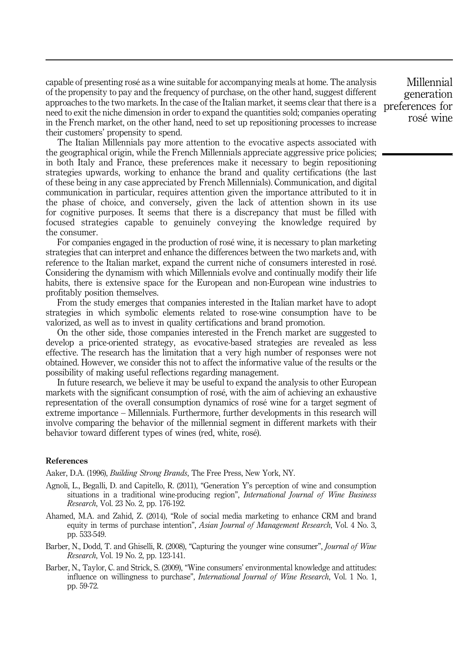capable of presenting rosé as a wine suitable for accompanying meals at home. The analysis of the propensity to pay and the frequency of purchase, on the other hand, suggest different approaches to the two markets. In the case of the Italian market, it seems clear that there is a need to exit the niche dimension in order to expand the quantities sold; companies operating in the French market, on the other hand, need to set up repositioning processes to increase their customers' propensity to spend.

The Italian Millennials pay more attention to the evocative aspects associated with the geographical origin, while the French Millennials appreciate aggressive price policies; in both Italy and France, these preferences make it necessary to begin repositioning strategies upwards, working to enhance the brand and quality certifications (the last of these being in any case appreciated by French Millennials). Communication, and digital communication in particular, requires attention given the importance attributed to it in the phase of choice, and conversely, given the lack of attention shown in its use for cognitive purposes. It seems that there is a discrepancy that must be filled with focused strategies capable to genuinely conveying the knowledge required by the consumer.

For companies engaged in the production of rosé wine, it is necessary to plan marketing strategies that can interpret and enhance the differences between the two markets and, with reference to the Italian market, expand the current niche of consumers interested in rosé. Considering the dynamism with which Millennials evolve and continually modify their life habits, there is extensive space for the European and non-European wine industries to profitably position themselves.

From the study emerges that companies interested in the Italian market have to adopt strategies in which symbolic elements related to rose-wine consumption have to be valorized, as well as to invest in quality certifications and brand promotion.

On the other side, those companies interested in the French market are suggested to develop a price-oriented strategy, as evocative-based strategies are revealed as less effective. The research has the limitation that a very high number of responses were not obtained. However, we consider this not to affect the informative value of the results or the possibility of making useful reflections regarding management.

In future research, we believe it may be useful to expand the analysis to other European markets with the significant consumption of rosé, with the aim of achieving an exhaustive representation of the overall consumption dynamics of rosé wine for a target segment of extreme importance – Millennials. Furthermore, further developments in this research will involve comparing the behavior of the millennial segment in different markets with their behavior toward different types of wines (red, white, rosé).

#### References

Aaker, D.A. (1996), *Building Strong Brands*, The Free Press, New York, NY.

- Agnoli, L., Begalli, D. and Capitello, R. (2011), "Generation Y's perception of wine and consumption situations in a traditional wine-producing region", International Journal of Wine Business Research, Vol. 23 No. 2, pp. 176-192.
- Ahamed, M.A. and Zahid, Z. (2014), "Role of social media marketing to enhance CRM and brand equity in terms of purchase intention", Asian Journal of Management Research, Vol. 4 No. 3, pp. 533-549.
- Barber, N., Dodd, T. and Ghiselli, R. (2008), "Capturing the younger wine consumer", *Journal of Wine* Research, Vol. 19 No. 2, pp. 123-141.
- Barber, N., Taylor, C. and Strick, S. (2009), "Wine consumers' environmental knowledge and attitudes: influence on willingness to purchase", *International Journal of Wine Research*, Vol. 1 No. 1, pp. 59-72.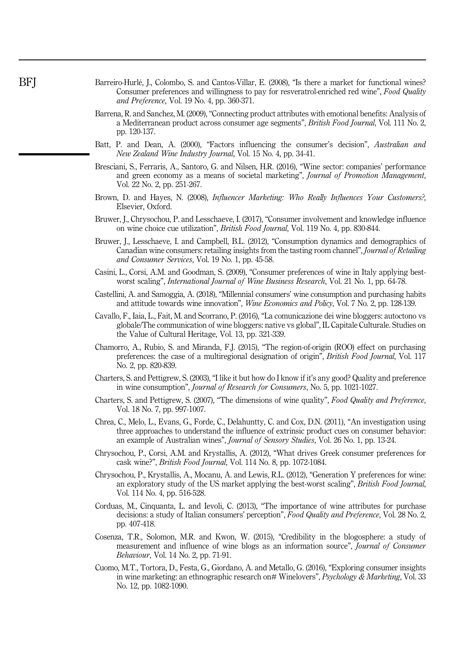- Barreiro-Hurlé, J., Colombo, S. and Cantos-Villar, E. (2008), "Is there a market for functional wines? Consumer preferences and willingness to pay for resveratrol-enriched red wine", Food Quality and Preference, Vol. 19 No. 4, pp. 360-371.
- Barrena, R. and Sanchez, M. (2009), "Connecting product attributes with emotional benefits: Analysis of a Mediterranean product across consumer age segments", British Food Journal, Vol. 111 No. 2, pp. 120-137.
- Batt, P. and Dean, A. (2000), "Factors influencing the consumer's decision", Australian and New Zealand Wine Industry Journal, Vol. 15 No. 4, pp. 34-41.
- Bresciani, S., Ferraris, A., Santoro, G. and Nilsen, H.R. (2016), "Wine sector: companies' performance and green economy as a means of societal marketing", Journal of Promotion Management, Vol. 22 No. 2, pp. 251-267.
- Brown, D. and Hayes, N. (2008), Influencer Marketing: Who Really Influences Your Customers?, Elsevier, Oxford.
- Bruwer, J., Chrysochou, P. and Lesschaeve, I. (2017), "Consumer involvement and knowledge influence on wine choice cue utilization", British Food Journal, Vol. 119 No. 4, pp. 830-844.
- Bruwer, J., Lesschaeve, I. and Campbell, B.L. (2012), "Consumption dynamics and demographics of Canadian wine consumers: retailing insights from the tasting room channel", Journal of Retailing and Consumer Services, Vol. 19 No. 1, pp. 45-58.
- Casini, L., Corsi, A.M. and Goodman, S. (2009), "Consumer preferences of wine in Italy applying bestworst scaling", International Journal of Wine Business Research, Vol. 21 No. 1, pp. 64-78.
- Castellini, A. and Samoggia, A. (2018), "Millennial consumers' wine consumption and purchasing habits and attitude towards wine innovation", Wine Economics and Policy, Vol. 7 No. 2, pp. 128-139.
- Cavallo, F., Iaia, L., Fait, M. and Scorrano, P. (2016), "La comunicazione dei wine bloggers: autoctono vs globale/The communication of wine bloggers: native vs global", IL Capitale Culturale. Studies on the Value of Cultural Heritage, Vol. 13, pp. 321-339.
- Chamorro, A., Rubio, S. and Miranda, F.J. (2015), "The region-of-origin (ROO) effect on purchasing preferences: the case of a multiregional designation of origin", British Food Journal, Vol. 117 No. 2, pp. 820-839.
- Charters, S. and Pettigrew, S. (2003), "I like it but how do I know if it's any good? Quality and preference in wine consumption", Journal of Research for Consumers, No. 5, pp. 1021-1027.
- Charters, S. and Pettigrew, S. (2007), "The dimensions of wine quality", Food Quality and Preference, Vol. 18 No. 7, pp. 997-1007.
- Chrea, C., Melo, L., Evans, G., Forde, C., Delahuntty, C. and Cox, D.N. (2011), "An investigation using three approaches to understand the influence of extrinsic product cues on consumer behavior: an example of Australian wines", Journal of Sensory Studies, Vol. 26 No. 1, pp. 13-24.
- Chrysochou, P., Corsi, A.M. and Krystallis, A. (2012), "What drives Greek consumer preferences for cask wine?", British Food Journal, Vol. 114 No. 8, pp. 1072-1084.
- Chrysochou, P., Krystallis, A., Mocanu, A. and Lewis, R.L. (2012), "Generation Y preferences for wine: an exploratory study of the US market applying the best-worst scaling", British Food Journal, Vol. 114 No. 4, pp. 516-528.
- Corduas, M., Cinquanta, L. and Ievoli, C. (2013), "The importance of wine attributes for purchase decisions: a study of Italian consumers' perception", Food Quality and Preference, Vol. 28 No. 2, pp. 407-418.
- Cosenza, T.R., Solomon, M.R. and Kwon, W. (2015), "Credibility in the blogosphere: a study of measurement and influence of wine blogs as an information source", Journal of Consumer Behaviour, Vol. 14 No. 2, pp. 71-91.
- Cuomo, M.T., Tortora, D., Festa, G., Giordano, A. and Metallo, G. (2016), "Exploring consumer insights in wine marketing: an ethnographic research on# Winelovers", Psychology & Marketing, Vol. 33 No. 12, pp. 1082-1090.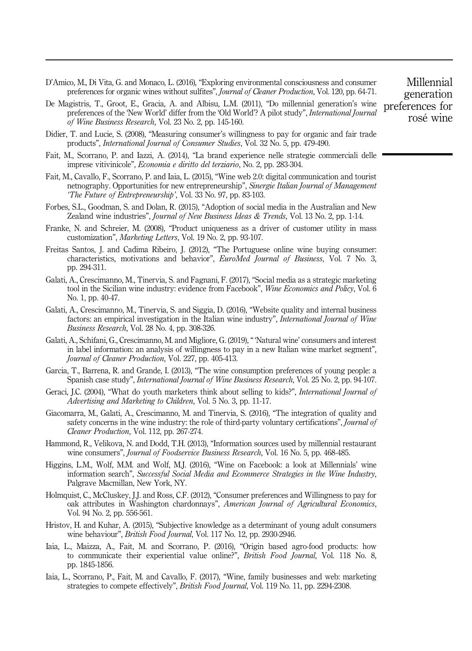- D'Amico, M., Di Vita, G. and Monaco, L. (2016), "Exploring environmental consciousness and consumer preferences for organic wines without sulfites", Journal of Cleaner Production, Vol. 120, pp. 64-71.
- De Magistris, T., Groot, E., Gracia, A. and Albisu, L.M. (2011), "Do millennial generation's wine preferences of the 'New World' differ from the 'Old World'? A pilot study", International Journal of Wine Business Research, Vol. 23 No. 2, pp. 145-160.
- Didier, T. and Lucie, S. (2008), "Measuring consumer's willingness to pay for organic and fair trade products", International Journal of Consumer Studies, Vol. 32 No. 5, pp. 479-490.
- Fait, M., Scorrano, P. and Iazzi, A. (2014), "La brand experience nelle strategie commerciali delle imprese vitivinicole", Economia e diritto del terziario, No. 2, pp. 283-304.
- Fait, M., Cavallo, F., Scorrano, P. and Iaia, L. (2015), "Wine web 2.0: digital communication and tourist netnography. Opportunities for new entrepreneurship", Sinergie Italian Journal of Management 'The Future of Entrepreneurship', Vol. 33 No. 97, pp. 83-103.
- Forbes, S.L., Goodman, S. and Dolan, R. (2015), "Adoption of social media in the Australian and New Zealand wine industries", Journal of New Business Ideas & Trends, Vol. 13 No. 2, pp. 1-14.
- Franke, N. and Schreier, M. (2008), "Product uniqueness as a driver of customer utility in mass customization", Marketing Letters, Vol. 19 No. 2, pp. 93-107.
- Freitas Santos, J. and Cadima Ribeiro, J. (2012), "The Portuguese online wine buying consumer: characteristics, motivations and behavior", EuroMed Journal of Business, Vol. 7 No. 3, pp. 294-311.
- Galati, A., Crescimanno, M., Tinervia, S. and Fagnani, F. (2017), "Social media as a strategic marketing tool in the Sicilian wine industry: evidence from Facebook", Wine Economics and Policy, Vol. 6 No. 1, pp. 40-47.
- Galati, A., Crescimanno, M., Tinervia, S. and Siggia, D. (2016), "Website quality and internal business factors: an empirical investigation in the Italian wine industry", *International Journal of Wine* Business Research, Vol. 28 No. 4, pp. 308-326.
- Galati, A., Schifani, G., Crescimanno, M. and Migliore, G. (2019), " 'Natural wine' consumers and interest in label information: an analysis of willingness to pay in a new Italian wine market segment", Journal of Cleaner Production, Vol. 227, pp. 405-413.
- Garcia, T., Barrena, R. and Grande, I. (2013), "The wine consumption preferences of young people: a Spanish case study", International Journal of Wine Business Research, Vol. 25 No. 2, pp. 94-107.
- Geraci, J.C. (2004), "What do youth marketers think about selling to kids?", International Journal of Advertising and Marketing to Children, Vol. 5 No. 3, pp. 11-17.
- Giacomarra, M., Galati, A., Crescimanno, M. and Tinervia, S. (2016), "The integration of quality and safety concerns in the wine industry: the role of third-party voluntary certifications", *Journal of* Cleaner Production, Vol. 112, pp. 267-274.
- Hammond, R., Velikova, N. and Dodd, T.H. (2013), "Information sources used by millennial restaurant wine consumers", Journal of Foodservice Business Research, Vol. 16 No. 5, pp. 468-485.
- Higgins, L.M., Wolf, M.M. and Wolf, M.J. (2016), "Wine on Facebook: a look at Millennials' wine information search", Successful Social Media and Ecommerce Strategies in the Wine Industry, Palgrave Macmillan, New York, NY.
- Holmquist, C., McCluskey, J.J. and Ross, C.F. (2012), "Consumer preferences and Willingness to pay for oak attributes in Washington chardonnays", American Journal of Agricultural Economics, Vol. 94 No. 2, pp. 556-561.
- Hristov, H. and Kuhar, A. (2015), "Subjective knowledge as a determinant of young adult consumers wine behaviour", British Food Journal, Vol. 117 No. 12, pp. 2930-2946.
- Iaia, L., Maizza, A., Fait, M. and Scorrano, P. (2016), "Origin based agro-food products: how to communicate their experiential value online?", *British Food Journal*, Vol. 118 No. 8, pp. 1845-1856.
- Iaia, L., Scorrano, P., Fait, M. and Cavallo, F. (2017), "Wine, family businesses and web: marketing strategies to compete effectively", British Food Journal, Vol. 119 No. 11, pp. 2294-2308.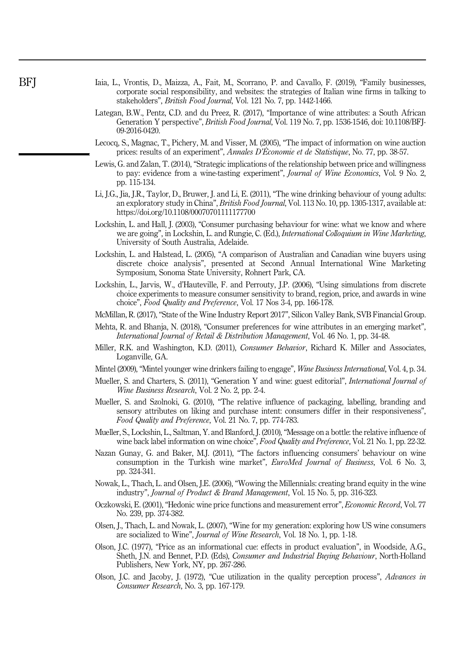- Iaia, L., Vrontis, D., Maizza, A., Fait, M., Scorrano, P. and Cavallo, F. (2019), "Family businesses, corporate social responsibility, and websites: the strategies of Italian wine firms in talking to stakeholders", British Food Journal, Vol. 121 No. 7, pp. 1442-1466.
- Lategan, B.W., Pentz, C.D. and du Preez, R. (2017), "Importance of wine attributes: a South African Generation Y perspective", British Food Journal, Vol. 119 No. 7, pp. 1536-1546, doi: 10.1108/BFJ-09-2016-0420.
- Lecocq, S., Magnac, T., Pichery, M. and Visser, M. (2005), "The impact of information on wine auction prices: results of an experiment", Annales D'Économie et de Statistique, No. 77, pp. 38-57.
- Lewis, G. and Zalan, T. (2014), "Strategic implications of the relationship between price and willingness to pay: evidence from a wine-tasting experiment", Journal of Wine Economics, Vol. 9 No. 2, pp. 115-134.
- Li, J.G., Jia, J.R., Taylor, D., Bruwer, J. and Li, E. (2011), "The wine drinking behaviour of young adults: an exploratory study in China", British Food Journal, Vol. 113 No. 10, pp. 1305-1317, available at: <https://doi.org/10.1108/00070701111177700>
- Lockshin, L. and Hall, J. (2003), "Consumer purchasing behaviour for wine: what we know and where we are going", in Lockshin, L. and Rungie, C. (Ed.), *International Colloquium in Wine Marketing*, University of South Australia, Adelaide.
- Lockshin, L. and Halstead, L. (2005), "A comparison of Australian and Canadian wine buyers using discrete choice analysis", presented at Second Annual International Wine Marketing Symposium, Sonoma State University, Rohnert Park, CA.
- Lockshin, L., Jarvis, W., d'Hauteville, F. and Perrouty, J.P. (2006), "Using simulations from discrete choice experiments to measure consumer sensitivity to brand, region, price, and awards in wine choice", Food Quality and Preference, Vol. 17 Nos 3-4, pp. 166-178.
- McMillan, R. (2017), "State of the Wine Industry Report 2017", Silicon Valley Bank, SVB Financial Group.
- Mehta, R. and Bhanja, N. (2018), "Consumer preferences for wine attributes in an emerging market", International Journal of Retail & Distribution Management, Vol. 46 No. 1, pp. 34-48.
- Miller, R.K. and Washington, K.D. (2011), *Consumer Behavior*, Richard K. Miller and Associates, Loganville, GA.
- Mintel (2009), "Mintel younger wine drinkers failing to engage", Wine Business International, Vol. 4, p. 34.
- Mueller, S. and Charters, S. (2011), "Generation Y and wine: guest editorial", International Journal of Wine Business Research, Vol. 2 No. 2, pp. 2-4.
- Mueller, S. and Szolnoki, G. (2010), "The relative influence of packaging, labelling, branding and sensory attributes on liking and purchase intent: consumers differ in their responsiveness", Food Quality and Preference, Vol. 21 No. 7, pp. 774-783.
- Mueller, S., Lockshin, L., Saltman, Y. and Blanford, J. (2010), "Message on a bottle: the relative influence of wine back label information on wine choice", Food Quality and Preference, Vol. 21 No. 1, pp. 22-32.
- Nazan Gunay, G. and Baker, M.J. (2011), "The factors influencing consumers' behaviour on wine consumption in the Turkish wine market", EuroMed Journal of Business, Vol. 6 No. 3, pp. 324-341.
- Nowak, L., Thach, L. and Olsen, J.E. (2006), "Wowing the Millennials: creating brand equity in the wine industry", Journal of Product & Brand Management, Vol. 15 No. 5, pp. 316-323.
- Oczkowski, E. (2001), "Hedonic wine price functions and measurement error", Economic Record, Vol. 77 No. 239, pp. 374-382.
- Olsen, J., Thach, L. and Nowak, L. (2007), "Wine for my generation: exploring how US wine consumers are socialized to Wine", Journal of Wine Research, Vol. 18 No. 1, pp. 1-18.
- Olson, J.C. (1977), "Price as an informational cue: effects in product evaluation", in Woodside, A.G., Sheth, J.N. and Bennet, P.D. (Eds), Consumer and Industrial Buying Behaviour, North-Holland Publishers, New York, NY, pp. 267-286.
- Olson, J.C. and Jacoby, J. (1972), "Cue utilization in the quality perception process", Advances in Consumer Research, No. 3, pp. 167-179.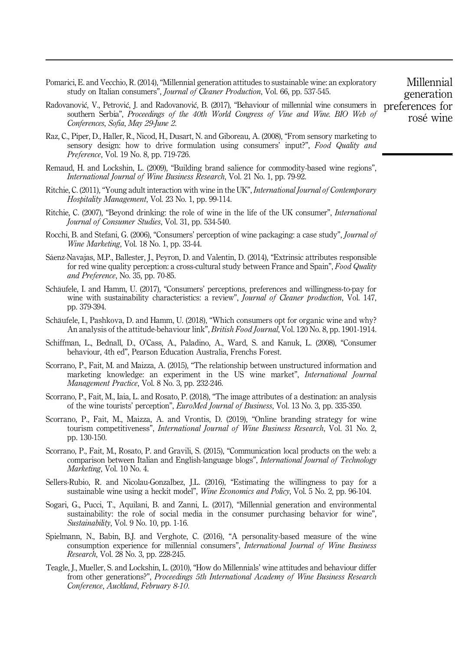Pomarici, E. and Vecchio, R. (2014), "Millennial generation attitudes to sustainable wine: an exploratory study on Italian consumers", Journal of Cleaner Production, Vol. 66, pp. 537-545.

- Radovanović, V., Petrović, J. and Radovanović, B. (2017), "Behaviour of millennial wine consumers in southern Serbia", Proceedings of the 40th World Congress of Vine and Wine. BIO Web of Conferences, Sofia, May 29-June 2.
- Raz, C., Piper, D., Haller, R., Nicod, H., Dusart, N. and Giboreau, A. (2008), "From sensory marketing to sensory design: how to drive formulation using consumers' input?", Food Quality and Preference, Vol. 19 No. 8, pp. 719-726.
- Remaud, H. and Lockshin, L. (2009), "Building brand salience for commodity-based wine regions", International Journal of Wine Business Research, Vol. 21 No. 1, pp. 79-92.
- Ritchie, C. (2011), "Young adult interaction with wine in the UK", International Journal of Contemporary Hospitality Management, Vol. 23 No. 1, pp. 99-114.
- Ritchie, C. (2007), "Beyond drinking: the role of wine in the life of the UK consumer", International Journal of Consumer Studies, Vol. 31, pp. 534-540.
- Rocchi, B. and Stefani, G. (2006), "Consumers' perception of wine packaging: a case study", *Journal of* Wine Marketing, Vol. 18 No. 1, pp. 33-44.
- Sáenz-Navajas, M.P., Ballester, J., Peyron, D. and Valentin, D. (2014), "Extrinsic attributes responsible for red wine quality perception: a cross-cultural study between France and Spain", Food Quality and Preference, No. 35, pp. 70-85.
- Schäufele, I. and Hamm, U. (2017), "Consumers' perceptions, preferences and willingness-to-pay for wine with sustainability characteristics: a review", *Journal of Cleaner production*, Vol. 147, pp. 379-394.
- Schäufele, I., Pashkova, D. and Hamm, U. (2018), "Which consumers opt for organic wine and why? An analysis of the attitude-behaviour link", *British Food Journal*, Vol. 120 No. 8, pp. 1901-1914.
- Schiffman, L., Bednall, D., O'Cass, A., Paladino, A., Ward, S. and Kanuk, L. (2008), "Consumer behaviour, 4th ed", Pearson Education Australia, Frenchs Forest.
- Scorrano, P., Fait, M. and Maizza, A. (2015), "The relationship between unstructured information and marketing knowledge: an experiment in the US wine market", International Journal Management Practice, Vol. 8 No. 3, pp. 232-246.
- Scorrano, P., Fait, M., Iaia, L. and Rosato, P. (2018), "The image attributes of a destination: an analysis of the wine tourists' perception", EuroMed Journal of Business, Vol. 13 No. 3, pp. 335-350.
- Scorrano, P., Fait, M., Maizza, A. and Vrontis, D. (2019), "Online branding strategy for wine tourism competitiveness", *International Journal of Wine Business Research*, Vol. 31 No. 2, pp. 130-150.
- Scorrano, P., Fait, M., Rosato, P. and Gravili, S. (2015), "Communication local products on the web: a comparison between Italian and English-language blogs", *International Journal of Technology* Marketing, Vol. 10 No. 4.
- Sellers-Rubio, R. and Nicolau-Gonzalbez, J.L. (2016), "Estimating the willingness to pay for a sustainable wine using a heckit model", *Wine Economics and Policy*, Vol. 5 No. 2, pp. 96-104.
- Sogari, G., Pucci, T., Aquilani, B. and Zanni, L. (2017), "Millennial generation and environmental sustainability: the role of social media in the consumer purchasing behavior for wine", Sustainability, Vol. 9 No. 10, pp. 1-16.
- Spielmann, N., Babin, B.J. and Verghote, C. (2016), "A personality-based measure of the wine consumption experience for millennial consumers", International Journal of Wine Business Research, Vol. 28 No. 3, pp. 228-245.
- Teagle, J., Mueller, S. and Lockshin, L. (2010), "How do Millennials' wine attitudes and behaviour differ from other generations?", Proceedings 5th International Academy of Wine Business Research Conference, Auckland, February 8-10.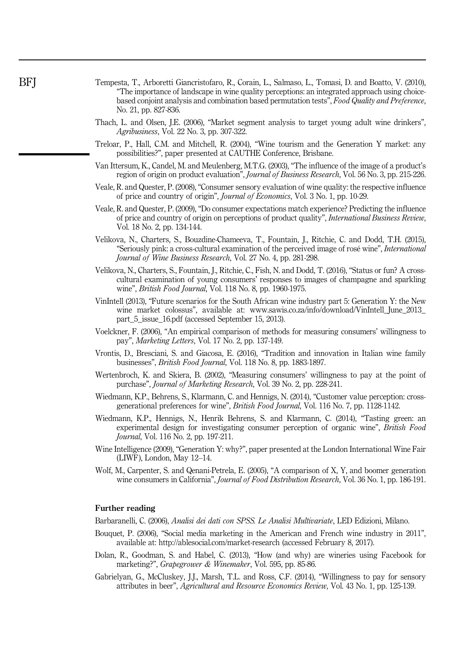- Tempesta, T., Arboretti Giancristofaro, R., Corain, L., Salmaso, L., Tomasi, D. and Boatto, V. (2010), "The importance of landscape in wine quality perceptions: an integrated approach using choicebased conjoint analysis and combination based permutation tests", Food Quality and Preference, No. 21, pp. 827-836.
- Thach, L. and Olsen, J.E. (2006), "Market segment analysis to target young adult wine drinkers", Agribusiness, Vol. 22 No. 3, pp. 307-322.
- Treloar, P., Hall, C.M. and Mitchell, R. (2004), "Wine tourism and the Generation Y market: any possibilities?", paper presented at CAUTHE Conference, Brisbane.
- Van Ittersum, K., Candel, M. and Meulenberg, M.T.G. (2003), "The influence of the image of a product's region of origin on product evaluation", Journal of Business Research, Vol. 56 No. 3, pp. 215-226.
- Veale, R. and Quester, P. (2008), "Consumer sensory evaluation of wine quality: the respective influence of price and country of origin", Journal of Economics, Vol. 3 No. 1, pp. 10-29.
- Veale, R. and Quester, P. (2009), "Do consumer expectations match experience? Predicting the influence of price and country of origin on perceptions of product quality", International Business Review, Vol. 18 No. 2, pp. 134-144.
- Velikova, N., Charters, S., Bouzdine-Chameeva, T., Fountain, J., Ritchie, C. and Dodd, T.H. (2015), "Seriously pink: a cross-cultural examination of the perceived image of rosé wine", International Journal of Wine Business Research, Vol. 27 No. 4, pp. 281-298.
- Velikova, N., Charters, S., Fountain, J., Ritchie, C., Fish, N. and Dodd, T. (2016), "Status or fun? A crosscultural examination of young consumers' responses to images of champagne and sparkling wine", British Food Journal, Vol. 118 No. 8, pp. 1960-1975.
- VinIntell (2013), "Future scenarios for the South African wine industry part 5: Generation Y: the New wine market colossus", available at: [www.sawis.co.za/info/download/VinIntell\\_June\\_2013\\_](http://www.sawis.co.za/info/download/VinIntell_June_2013_part_5_issue_16.pdf) part 5 issue 16.pdf (accessed September 15, 2013).
- Voelckner, F. (2006), "An empirical comparison of methods for measuring consumers' willingness to pay", Marketing Letters, Vol. 17 No. 2, pp. 137-149.
- Vrontis, D., Bresciani, S. and Giacosa, E. (2016), "Tradition and innovation in Italian wine family businesses", British Food Journal, Vol. 118 No. 8, pp. 1883-1897.
- Wertenbroch, K. and Skiera, B. (2002), "Measuring consumers' willingness to pay at the point of purchase", Journal of Marketing Research, Vol. 39 No. 2, pp. 228-241.
- Wiedmann, K.P., Behrens, S., Klarmann, C. and Hennigs, N. (2014), "Customer value perception: crossgenerational preferences for wine", British Food Journal, Vol. 116 No. 7, pp. 1128-1142.
- Wiedmann, K.P., Hennigs, N., Henrik Behrens, S. and Klarmann, C. (2014), "Tasting green: an experimental design for investigating consumer perception of organic wine", British Food Journal, Vol. 116 No. 2, pp. 197-211.
- Wine Intelligence (2009), "Generation Y: why?", paper presented at the London International Wine Fair (LIWF), London, May 12–14.
- Wolf, M., Carpenter, S. and Qenani-Petrela, E. (2005), "A comparison of X, Y, and boomer generation wine consumers in California", Journal of Food Distribution Research, Vol. 36 No. 1, pp. 186-191.

#### Further reading

Barbaranelli, C. (2006), Analisi dei dati con SPSS. Le Analisi Multivariate, LED Edizioni, Milano.

- Bouquet, P. (2006), "Social media marketing in the American and French wine industry in 2011", available at:<http://ablesocial.com/market-research> (accessed February 8, 2017).
- Dolan, R., Goodman, S. and Habel, C. (2013), "How (and why) are wineries using Facebook for marketing?", Grapegrower & Winemaker, Vol. 595, pp. 85-86.
- Gabrielyan, G., McCluskey, J.J., Marsh, T.L. and Ross, C.F. (2014), "Willingness to pay for sensory attributes in beer", Agricultural and Resource Economics Review, Vol. 43 No. 1, pp. 125-139.